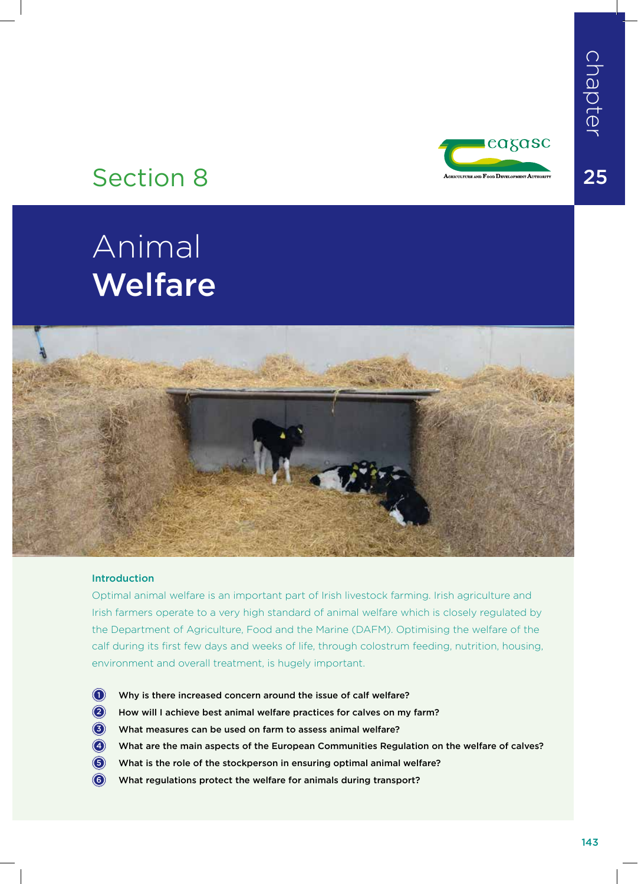

## Section 8 AGRICULTURE AND FOOD DEVELOPMENT AUTHORITY 25

## Animal **Welfare**



## Introduction

Optimal animal welfare is an important part of Irish livestock farming. Irish agriculture and Irish farmers operate to a very high standard of animal welfare which is closely regulated by the Department of Agriculture, Food and the Marine (DAFM). Optimising the welfare of the calf during its first few days and weeks of life, through colostrum feeding, nutrition, housing, environment and overall treatment, is hugely important.

- Why is there increased concern around the issue of calf welfare?  $\odot$
- How will I achieve best animal welfare practices for calves on my farm?  $\circledcirc$
- What measures can be used on farm to assess animal welfare?  $\circleds$
- What are the main aspects of the European Communities Regulation on the welfare of calves?  $\circled{4}$
- What is the role of the stockperson in ensuring optimal animal welfare?  $\left( 5\right)$
- What regulations protect the welfare for animals during transport?  $\odot$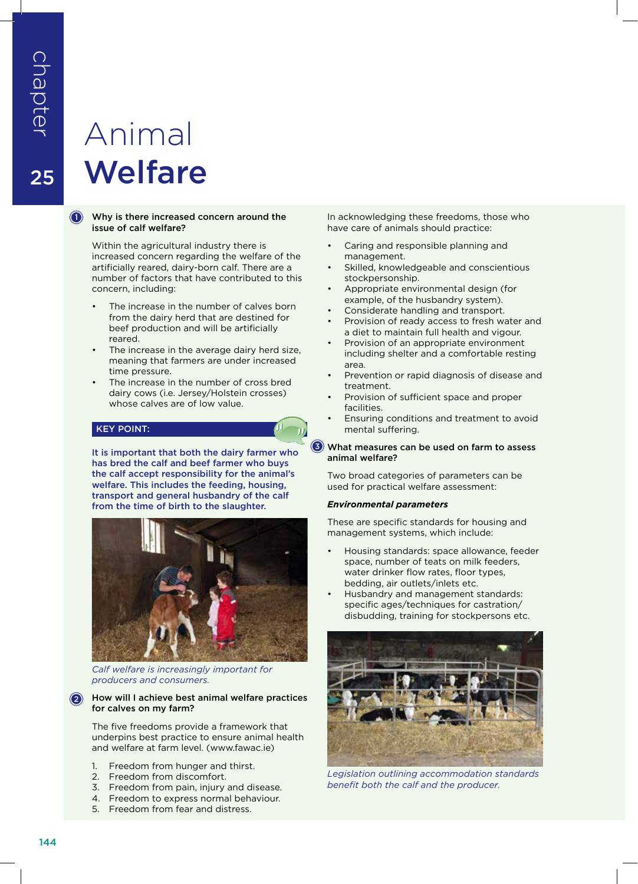# Animal **Welfare**

### Why is there increased concern around the issue of calf welfare?  $\mathbf{I}$

Within the agricultural industry there is increased concern regarding the welfare of the artificially reared, dairy-born calf. There are a number of factors that have contributed to this concern, including:

- The increase in the number of calves born from the dairy herd that are destined for beef production and will be artificially reared.
- The increase in the average dairy herd size, meaning that farmers are under increased time pressure.
- The increase in the number of cross bred dairy cows (i.e. Jersey/Holstein crosses) whose calves are of low value.

### KEY POINT:

the calf accept responsibility for the animal's It is important that both the dairy farmer who has bred the calf and beef farmer who buys welfare. This includes the feeding, housing, transport and general husbandry of the calf from the time of birth to the slaughter.



*Calf welfare is increasingly important for producers and consumers.*

### How will I achieve best animal welfare practices for calves on my farm? 2

The five freedoms provide a framework that underpins best practice to ensure animal health and welfare at farm level. (www.fawac.ie)

- 1. Freedom from hunger and thirst.
- 2. Freedom from discomfort.
- 3. Freedom from pain, injury and disease.
- 4. Freedom to express normal behaviour.
- 5. Freedom from fear and distress.

In acknowledging these freedoms, those who have care of animals should practice:

- Caring and responsible planning and management.
- Skilled, knowledgeable and conscientious stockpersonship.
- Appropriate environmental design (for example, of the husbandry system).
- Considerate handling and transport.
- Provision of ready access to fresh water and a diet to maintain full health and vigour.
- Provision of an appropriate environment including shelter and a comfortable resting area.
- Prevention or rapid diagnosis of disease and treatment.
- Provision of sufficient space and proper facilities.
- Ensuring conditions and treatment to avoid mental suffering.

#### What measures can be used on farm to assess animal welfare?  $\mathcal{L}(\mathcal{I})$

Two broad categories of parameters can be used for practical welfare assessment:

### *Environmental parameters*

These are specific standards for housing and management systems, which include:

- Housing standards: space allowance, feeder space, number of teats on milk feeders, water drinker flow rates, floor types, bedding, air outlets/inlets etc.
- Husbandry and management standards: specific ages/techniques for castration/ disbudding, training for stockpersons etc.



*Legislation outlining accommodation standards benefit both the calf and the producer.*

25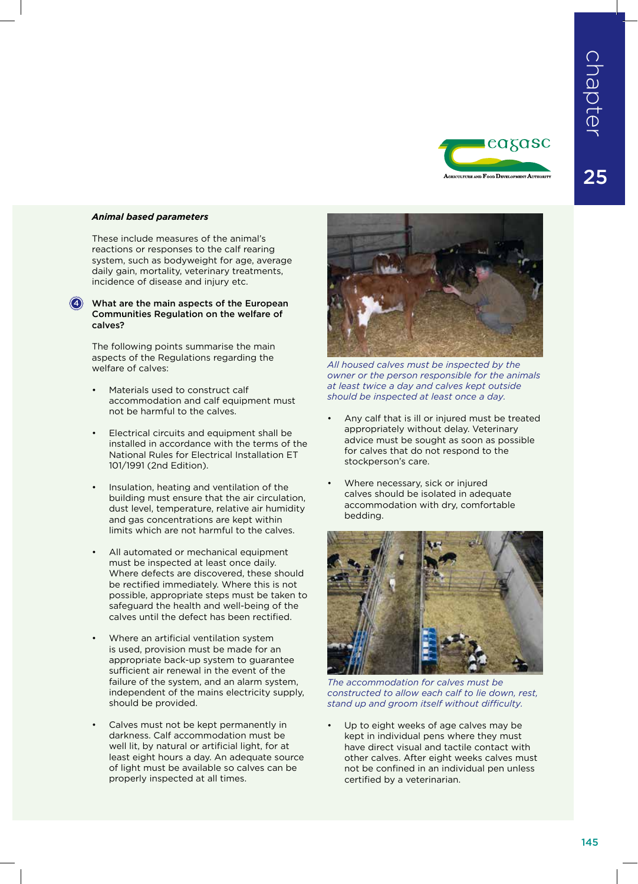25



### *Animal based parameters*

These include measures of the animal's reactions or responses to the calf rearing system, such as bodyweight for age, average daily gain, mortality, veterinary treatments, incidence of disease and injury etc.

### 4) What are the main aspects of the European Communities Regulation on the welfare of calves?

The following points summarise the main aspects of the Regulations regarding the welfare of calves:

- Materials used to construct calf accommodation and calf equipment must not be harmful to the calves.
- Electrical circuits and equipment shall be installed in accordance with the terms of the National Rules for Electrical Installation ET 101/1991 (2nd Edition).
- Insulation, heating and ventilation of the building must ensure that the air circulation, dust level, temperature, relative air humidity and gas concentrations are kept within limits which are not harmful to the calves.
- All automated or mechanical equipment must be inspected at least once daily. Where defects are discovered, these should be rectified immediately. Where this is not possible, appropriate steps must be taken to safeguard the health and well-being of the calves until the defect has been rectified.
- Where an artificial ventilation system is used, provision must be made for an appropriate back-up system to guarantee sufficient air renewal in the event of the failure of the system, and an alarm system, independent of the mains electricity supply, should be provided.
- Calves must not be kept permanently in darkness. Calf accommodation must be well lit, by natural or artificial light, for at least eight hours a day. An adequate source of light must be available so calves can be properly inspected at all times.



*All housed calves must be inspected by the owner or the person responsible for the animals at least twice a day and calves kept outside should be inspected at least once a day.*

- Any calf that is ill or injured must be treated appropriately without delay. Veterinary advice must be sought as soon as possible for calves that do not respond to the stockperson's care.
- Where necessary, sick or injured calves should be isolated in adequate accommodation with dry, comfortable bedding.



*The accommodation for calves must be constructed to allow each calf to lie down, rest, stand up and groom itself without difficulty.*

Up to eight weeks of age calves may be kept in individual pens where they must have direct visual and tactile contact with other calves. After eight weeks calves must not be confined in an individual pen unless certified by a veterinarian.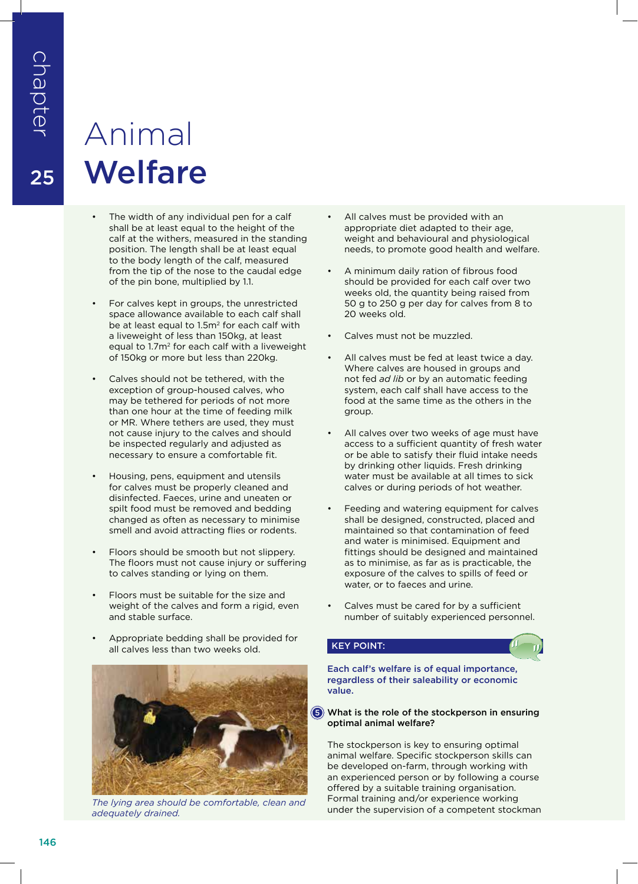# Animal **Welfare**

- The width of any individual pen for a calf shall be at least equal to the height of the calf at the withers, measured in the standing position. The length shall be at least equal to the body length of the calf, measured from the tip of the nose to the caudal edge of the pin bone, multiplied by 1.1.
- For calves kept in groups, the unrestricted space allowance available to each calf shall be at least equal to 1.5m2 for each calf with a liveweight of less than 150kg, at least equal to 1.7m2 for each calf with a liveweight of 150kg or more but less than 220kg.
- Calves should not be tethered, with the exception of group-housed calves, who may be tethered for periods of not more than one hour at the time of feeding milk or MR. Where tethers are used, they must not cause injury to the calves and should be inspected regularly and adjusted as necessary to ensure a comfortable fit.
- Housing, pens, equipment and utensils for calves must be properly cleaned and disinfected. Faeces, urine and uneaten or spilt food must be removed and bedding changed as often as necessary to minimise smell and avoid attracting flies or rodents.
- Floors should be smooth but not slippery. The floors must not cause injury or suffering to calves standing or lying on them.
- Floors must be suitable for the size and weight of the calves and form a rigid, even and stable surface.
- Appropriate bedding shall be provided for all calves less than two weeks old.



*The lying area should be comfortable, clean and adequately drained.*

- All calves must be provided with an appropriate diet adapted to their age, weight and behavioural and physiological needs, to promote good health and welfare.
- A minimum daily ration of fibrous food should be provided for each calf over two weeks old, the quantity being raised from 50 g to 250 g per day for calves from 8 to 20 weeks old.
- Calves must not be muzzled.
- All calves must be fed at least twice a day. Where calves are housed in groups and not fed *ad lib* or by an automatic feeding system, each calf shall have access to the food at the same time as the others in the group.
- All calves over two weeks of age must have access to a sufficient quantity of fresh water or be able to satisfy their fluid intake needs by drinking other liquids. Fresh drinking water must be available at all times to sick calves or during periods of hot weather.
- Feeding and watering equipment for calves shall be designed, constructed, placed and maintained so that contamination of feed and water is minimised. Equipment and fittings should be designed and maintained as to minimise, as far as is practicable, the exposure of the calves to spills of feed or water, or to faeces and urine.
- Calves must be cared for by a sufficient number of suitably experienced personnel.

### KEY POINT:



value. Each calf's welfare is of equal importance, regardless of their saleability or economic

### **5**) What is the role of the stockperson in ensuring optimal animal welfare?

The stockperson is key to ensuring optimal animal welfare. Specific stockperson skills can be developed on-farm, through working with an experienced person or by following a course offered by a suitable training organisation. Formal training and/or experience working under the supervision of a competent stockman

25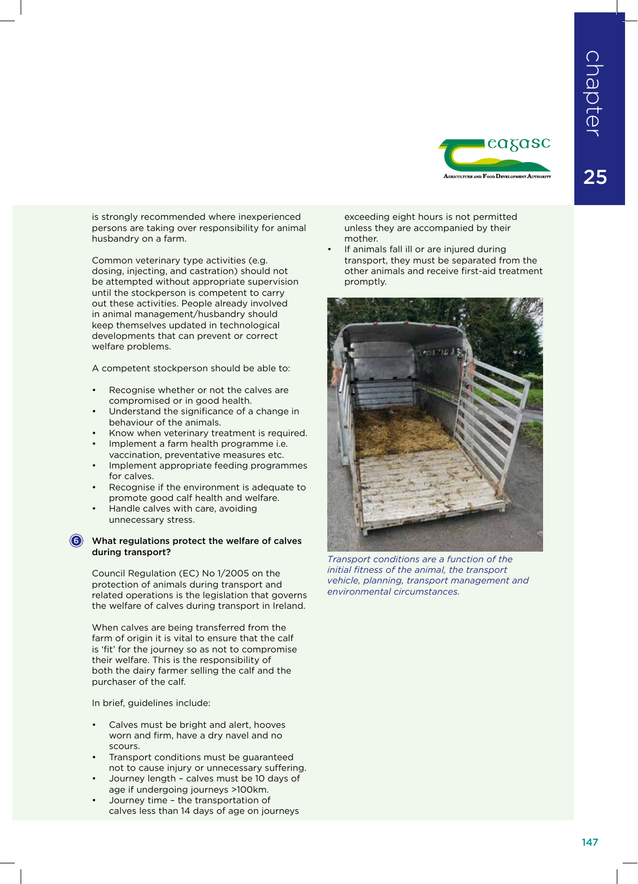25



is strongly recommended where inexperienced persons are taking over responsibility for animal husbandry on a farm.

Common veterinary type activities (e.g. dosing, injecting, and castration) should not be attempted without appropriate supervision until the stockperson is competent to carry out these activities. People already involved in animal management/husbandry should keep themselves updated in technological developments that can prevent or correct welfare problems.

A competent stockperson should be able to:

- Recognise whether or not the calves are compromised or in good health.
- Understand the significance of a change in behaviour of the animals.
- Know when veterinary treatment is required.
- Implement a farm health programme i.e. vaccination, preventative measures etc.
- Implement appropriate feeding programmes for calves.
- Recognise if the environment is adequate to promote good calf health and welfare.
- Handle calves with care, avoiding unnecessary stress.

### 6) What regulations protect the welfare of calves during transport?

Council Regulation (EC) No 1/2005 on the protection of animals during transport and related operations is the legislation that governs the welfare of calves during transport in Ireland.

When calves are being transferred from the farm of origin it is vital to ensure that the calf is 'fit' for the journey so as not to compromise their welfare. This is the responsibility of both the dairy farmer selling the calf and the purchaser of the calf.

In brief, guidelines include:

- Calves must be bright and alert, hooves worn and firm, have a dry navel and no scours.
- Transport conditions must be guaranteed not to cause injury or unnecessary suffering.
- Journey length calves must be 10 days of age if undergoing journeys >100km.
- Journey time the transportation of calves less than 14 days of age on journeys

exceeding eight hours is not permitted unless they are accompanied by their mother.

If animals fall ill or are injured during transport, they must be separated from the other animals and receive first-aid treatment promptly.



*Transport conditions are a function of the initial fitness of the animal, the transport vehicle, planning, transport management and environmental circumstances.*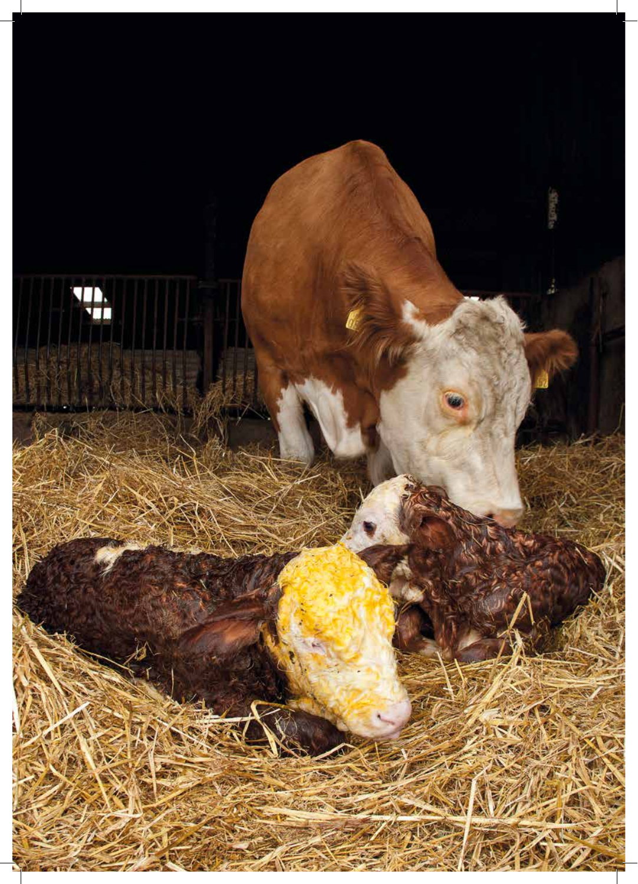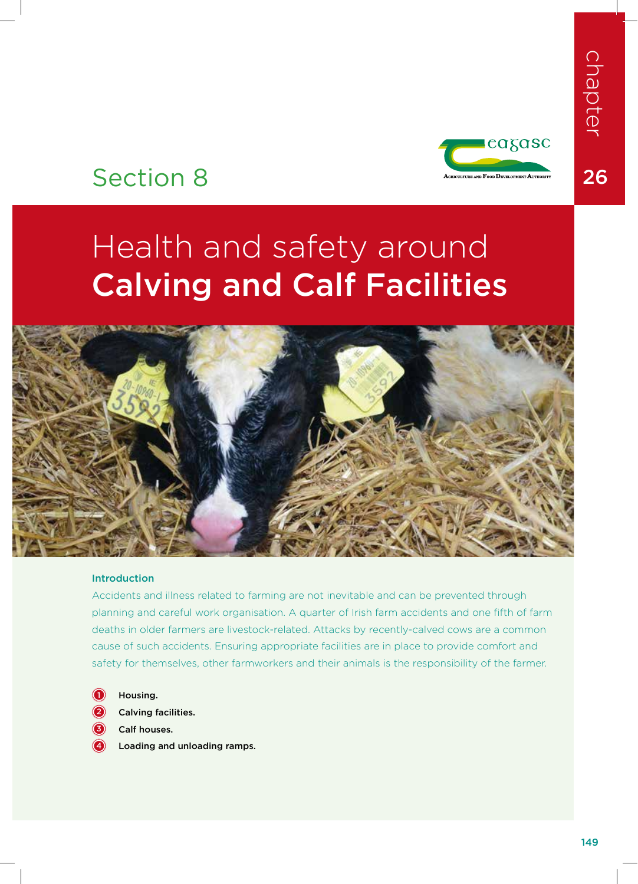

## Section 8 26 26

## Health and safety around Calving and Calf Facilities



### Introduction

Accidents and illness related to farming are not inevitable and can be prevented through planning and careful work organisation. A quarter of Irish farm accidents and one fifth of farm deaths in older farmers are livestock-related. Attacks by recently-calved cows are a common cause of such accidents. Ensuring appropriate facilities are in place to provide comfort and safety for themselves, other farmworkers and their animals is the responsibility of the farmer.

 $\bf{(1)}$ 

Housing.

Calving facilities. 2

Calf houses. (3)

Loading and unloading ramps. 4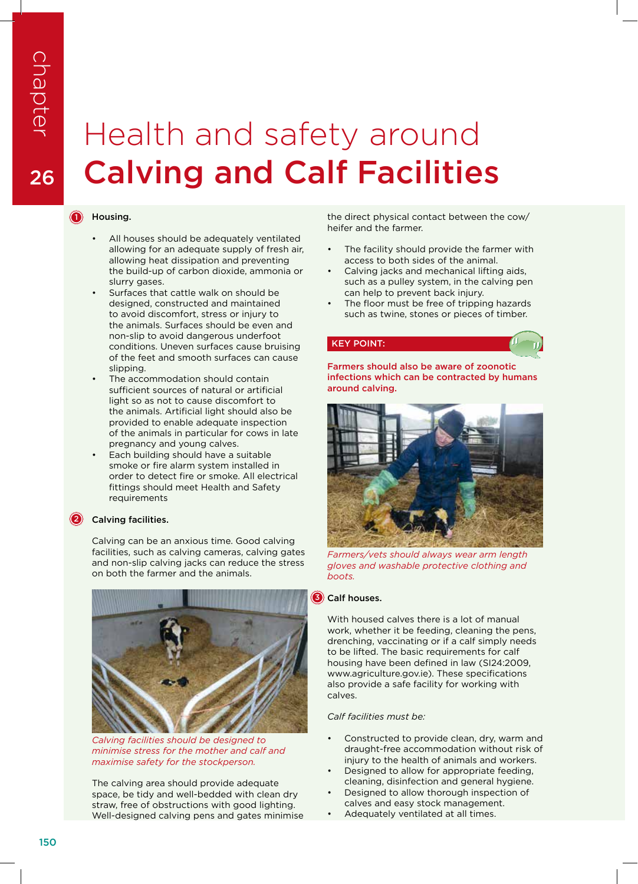26

# Health and safety around Calving and Calf Facilities

### 1) Housing.

- All houses should be adequately ventilated allowing for an adequate supply of fresh air, allowing heat dissipation and preventing the build-up of carbon dioxide, ammonia or slurry gases.
- Surfaces that cattle walk on should be designed, constructed and maintained to avoid discomfort, stress or injury to the animals. Surfaces should be even and non-slip to avoid dangerous underfoot conditions. Uneven surfaces cause bruising of the feet and smooth surfaces can cause slipping.
- The accommodation should contain sufficient sources of natural or artificial light so as not to cause discomfort to the animals. Artificial light should also be provided to enable adequate inspection of the animals in particular for cows in late pregnancy and young calves.
- Each building should have a suitable smoke or fire alarm system installed in order to detect fire or smoke. All electrical fittings should meet Health and Safety requirements

### 2) Calving facilities.

Calving can be an anxious time. Good calving facilities, such as calving cameras, calving gates and non-slip calving jacks can reduce the stress on both the farmer and the animals.



*Calving facilities should be designed to minimise stress for the mother and calf and maximise safety for the stockperson.*

The calving area should provide adequate space, be tidy and well-bedded with clean dry straw, free of obstructions with good lighting. Well-designed calving pens and gates minimise

the direct physical contact between the cow/ heifer and the farmer.

- The facility should provide the farmer with access to both sides of the animal.
- Calving jacks and mechanical lifting aids, such as a pulley system, in the calving pen can help to prevent back injury.
- The floor must be free of tripping hazards such as twine, stones or pieces of timber.



around calving. Farmers should also be aware of zoonotic infections which can be contracted by humans



*Farmers/vets should always wear arm length gloves and washable protective clothing and boots.*

### **3** Calf houses.

With housed calves there is a lot of manual work, whether it be feeding, cleaning the pens, drenching, vaccinating or if a calf simply needs to be lifted. The basic requirements for calf housing have been defined in law (SI24:2009, www.agriculture.gov.ie). These specifications also provide a safe facility for working with calves.

### *Calf facilities must be:*

- Constructed to provide clean, dry, warm and draught-free accommodation without risk of injury to the health of animals and workers.
- Designed to allow for appropriate feeding, cleaning, disinfection and general hygiene.
- Designed to allow thorough inspection of calves and easy stock management.
- Adequately ventilated at all times.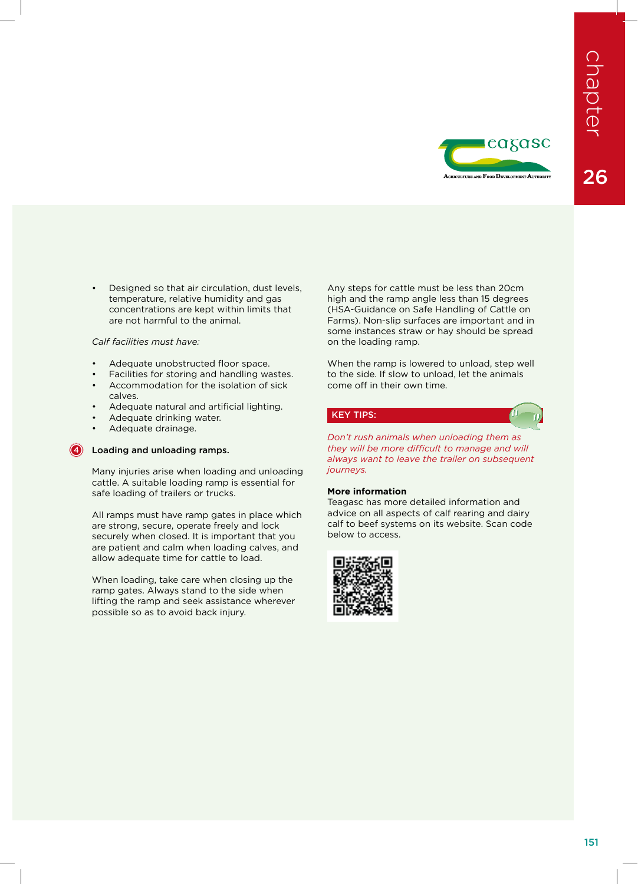

Designed so that air circulation, dust levels, temperature, relative humidity and gas concentrations are kept within limits that are not harmful to the animal.

### *Calf facilities must have:*

- Adequate unobstructed floor space.
- Facilities for storing and handling wastes.
- Accommodation for the isolation of sick calves.
- Adequate natural and artificial lighting.
- Adequate drinking water.
- Adequate drainage.

### 4) Loading and unloading ramps.

Many injuries arise when loading and unloading cattle. A suitable loading ramp is essential for safe loading of trailers or trucks.

All ramps must have ramp gates in place which are strong, secure, operate freely and lock securely when closed. It is important that you are patient and calm when loading calves, and allow adequate time for cattle to load.

When loading, take care when closing up the ramp gates. Always stand to the side when lifting the ramp and seek assistance wherever possible so as to avoid back injury.

Any steps for cattle must be less than 20cm high and the ramp angle less than 15 degrees (HSA-Guidance on Safe Handling of Cattle on Farms). Non-slip surfaces are important and in Farms). Non-siip sanaces are important and in on the loading ramp.

When the ramp is lowered to unload, step well to the side. If slow to unload, let the animals come off in their own time.

### KEY TIPS:

*Don't rush animals when unloading them as they will be more difficult to manage and will always want to leave the trailer on subsequent journeys.*

### **More information**

Teagasc has more detailed information and advice on all aspects of calf rearing and dairy calf to beef systems on its website. Scan code below to access.